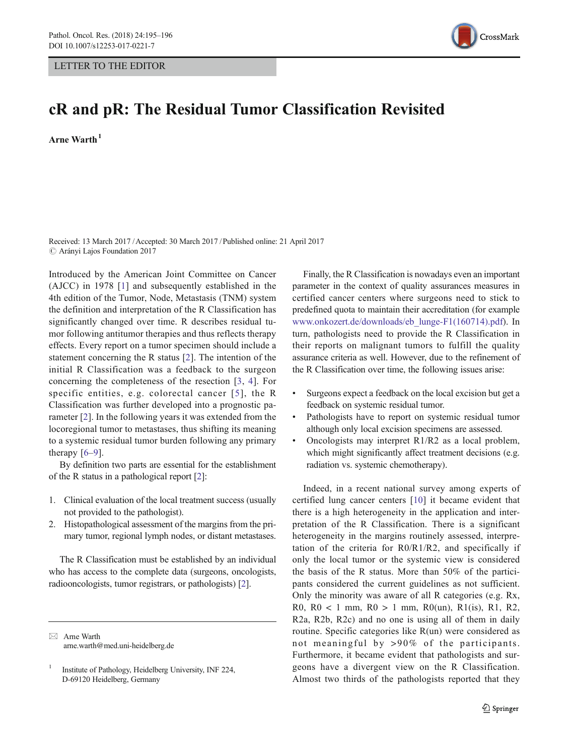## LETTER TO THE EDITOR



## cR and pR: The Residual Tumor Classification Revisited

 $A$ rne Warth $<sup>1</sup>$ </sup>

Received: 13 March 2017 /Accepted: 30 March 2017 /Published online: 21 April 2017  $\odot$  Arányi Lajos Foundation 2017

Introduced by the American Joint Committee on Cancer (AJCC) in 1978 [[1\]](#page-1-0) and subsequently established in the 4th edition of the Tumor, Node, Metastasis (TNM) system the definition and interpretation of the R Classification has significantly changed over time. R describes residual tumor following antitumor therapies and thus reflects therapy effects. Every report on a tumor specimen should include a statement concerning the R status [\[2](#page-1-0)]. The intention of the initial R Classification was a feedback to the surgeon concerning the completeness of the resection [\[3](#page-1-0), [4](#page-1-0)]. For specific entities, e.g. colorectal cancer [[5\]](#page-1-0), the R Classification was further developed into a prognostic parameter [\[2](#page-1-0)]. In the following years it was extended from the locoregional tumor to metastases, thus shifting its meaning to a systemic residual tumor burden following any primary therapy  $[6-9]$  $[6-9]$  $[6-9]$  $[6-9]$ .

By definition two parts are essential for the establishment of the R status in a pathological report [\[2](#page-1-0)]:

- 1. Clinical evaluation of the local treatment success (usually not provided to the pathologist).
- 2. Histopathological assessment of the margins from the primary tumor, regional lymph nodes, or distant metastases.

The R Classification must be established by an individual who has access to the complete data (surgeons, oncologists, radiooncologists, tumor registrars, or pathologists) [[2](#page-1-0)].

 $\boxtimes$  Arne Warth arne.warth@med.uni-heidelberg.de

Finally, the R Classification is nowadays even an important parameter in the context of quality assurances measures in certified cancer centers where surgeons need to stick to predefined quota to maintain their accreditation (for example [www.onkozert.de/downloads/eb\\_lunge-F1\(160714\).pdf\)](http://www.onkozert.de/downloads/eb_lunge-F1(160714).pdf). In turn, pathologists need to provide the R Classification in their reports on malignant tumors to fulfill the quality assurance criteria as well. However, due to the refinement of the R Classification over time, the following issues arise:

- Surgeons expect a feedback on the local excision but get a feedback on systemic residual tumor.
- Pathologists have to report on systemic residual tumor although only local excision specimens are assessed.
- Oncologists may interpret R1/R2 as a local problem, which might significantly affect treatment decisions (e.g. radiation vs. systemic chemotherapy).

Indeed, in a recent national survey among experts of certified lung cancer centers [[10\]](#page-1-0) it became evident that there is a high heterogeneity in the application and interpretation of the R Classification. There is a significant heterogeneity in the margins routinely assessed, interpretation of the criteria for R0/R1/R2, and specifically if only the local tumor or the systemic view is considered the basis of the R status. More than 50% of the participants considered the current guidelines as not sufficient. Only the minority was aware of all R categories (e.g. Rx, R0, R0 < 1 mm, R0 > 1 mm, R0(un), R1(is), R1, R2, R2a, R2b, R2c) and no one is using all of them in daily routine. Specific categories like R(un) were considered as not meaningful by >90% of the participants. Furthermore, it became evident that pathologists and surgeons have a divergent view on the R Classification. Almost two thirds of the pathologists reported that they

<sup>&</sup>lt;sup>1</sup> Institute of Pathology, Heidelberg University, INF 224, D-69120 Heidelberg, Germany